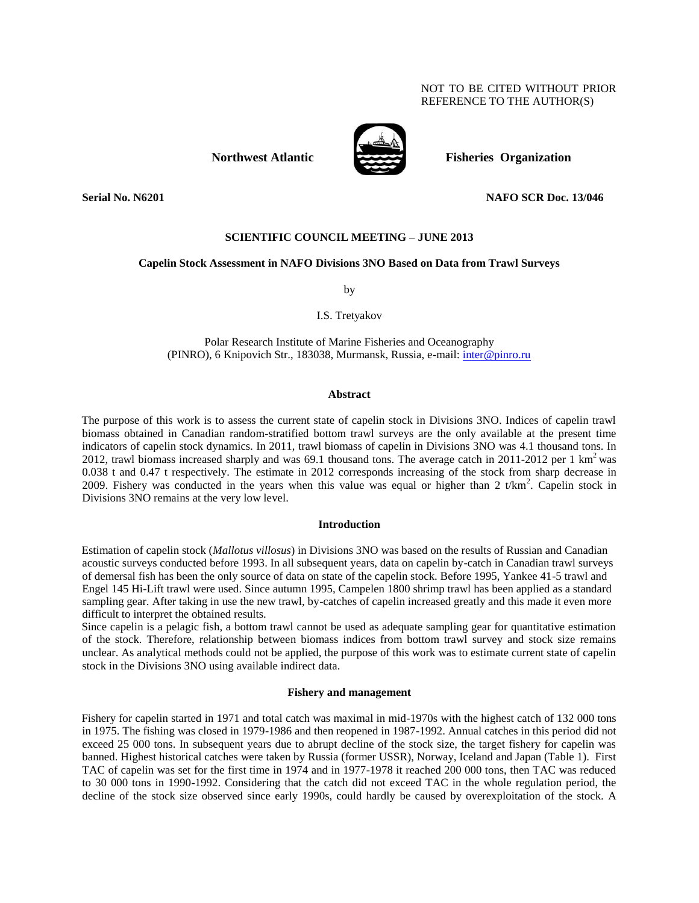# NOT TO BE CITED WITHOUT PRIOR REFERENCE TO THE AUTHOR(S)



**Northwest Atlantic** Fisheries Organization

**Serial No. N6201 NAFO SCR Doc. 13/046**

### **SCIENTIFIC COUNCIL MEETING – JUNE 2013**

## **Capelin Stock Assessment in NAFO Divisions 3NO Based on Data from Trawl Surveys**

by

I.S. Tretyakov

Polar Research Institute of Marine Fisheries and Oceanography (PINRO), 6 Knipovich Str., 183038, Murmansk, Russia, e-mail: inter@pinro.ru

### **Abstract**

The purpose of this work is to assess the current state of capelin stock in Divisions 3NO. Indices of capelin trawl biomass obtained in Canadian random-stratified bottom trawl surveys are the only available at the present time indicators of capelin stock dynamics. In 2011, trawl biomass of capelin in Divisions 3NO was 4.1 thousand tons. In 2012, trawl biomass increased sharply and was 69.1 thousand tons. The average catch in 2011-2012 per 1 km<sup>2</sup> was 0.038 t and 0.47 t respectively. The estimate in 2012 corresponds increasing of the stock from sharp decrease in 2009. Fishery was conducted in the years when this value was equal or higher than 2 t/km<sup>2</sup>. Capelin stock in Divisions 3NO remains at the very low level.

### **Introduction**

Estimation of capelin stock (*Mallotus villosus*) in Divisions 3NO was based on the results of Russian and Canadian acoustic surveys conducted before 1993. In all subsequent years, data on capelin by-catch in Canadian trawl surveys of demersal fish has been the only source of data on state of the capelin stock. Before 1995, Yankee 41-5 trawl and Engel 145 Hi-Lift trawl were used. Since autumn 1995, Campelen 1800 shrimp trawl has been applied as a standard sampling gear. After taking in use the new trawl, by-catches of capelin increased greatly and this made it even more difficult to interpret the obtained results.

Since capelin is a pelagic fish, a bottom trawl cannot be used as adequate sampling gear for quantitative estimation of the stock. Therefore, relationship between biomass indices from bottom trawl survey and stock size remains unclear. As analytical methods could not be applied, the purpose of this work was to estimate current state of capelin stock in the Divisions 3NO using available indirect data.

### **Fishery and management**

Fishery for capelin started in 1971 and total catch was maximal in mid-1970s with the highest catch of 132 000 tons in 1975. The fishing was closed in 1979-1986 and then reopened in 1987-1992. Annual catches in this period did not exceed 25 000 tons. In subsequent years due to abrupt decline of the stock size, the target fishery for capelin was banned. Highest historical catches were taken by Russia (former USSR), Norway, Iceland and Japan (Table 1). First TAC of capelin was set for the first time in 1974 and in 1977-1978 it reached 200 000 tons, then TAC was reduced to 30 000 tons in 1990-1992. Considering that the catch did not exceed TAC in the whole regulation period, the decline of the stock size observed since early 1990s, could hardly be caused by overexploitation of the stock. A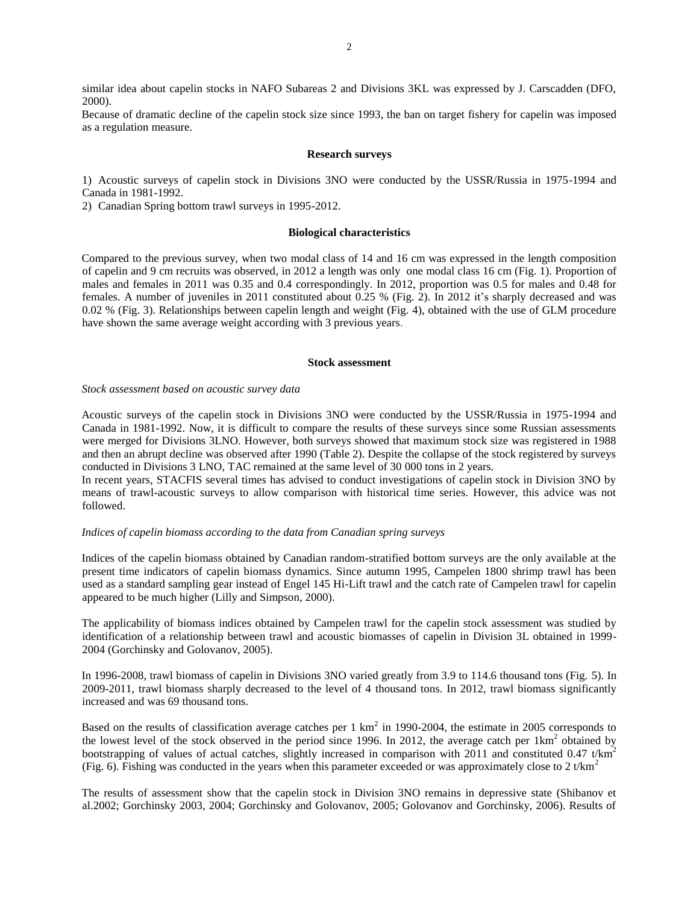similar idea about capelin stocks in NAFO Subareas 2 and Divisions 3KL was expressed by J. Carscadden (DFO, 2000).

Because of dramatic decline of the capelin stock size since 1993, the ban on target fishery for capelin was imposed as a regulation measure.

#### **Research surveys**

1) Acoustic surveys of capelin stock in Divisions 3NO were conducted by the USSR/Russia in 1975-1994 and Canada in 1981-1992.

2) Canadian Spring bottom trawl surveys in 1995-2012.

# **Biological characteristics**

Compared to the previous survey, when two modal class of 14 and 16 cm was expressed in the length composition of capelin and 9 cm recruits was observed, in 2012 a length was only one modal class 16 cm (Fig. 1). Proportion of males and females in 2011 was 0.35 and 0.4 correspondingly. In 2012, proportion was 0.5 for males and 0.48 for females. A number of juveniles in 2011 constituted about 0.25 % (Fig. 2). In 2012 it's sharply decreased and was 0.02 % (Fig. 3). Relationships between capelin length and weight (Fig. 4), obtained with the use of GLM procedure have shown the same average weight according with 3 previous years.

### **Stock assessment**

# *Stock assessment based on acoustic survey data*

Acoustic surveys of the capelin stock in Divisions 3NO were conducted by the USSR/Russia in 1975-1994 and Canada in 1981-1992. Now, it is difficult to compare the results of these surveys since some Russian assessments were merged for Divisions 3LNO. However, both surveys showed that maximum stock size was registered in 1988 and then an abrupt decline was observed after 1990 (Table 2). Despite the collapse of the stock registered by surveys conducted in Divisions 3 LNO, TAC remained at the same level of 30 000 tons in 2 years.

In recent years, STACFIS several times has advised to conduct investigations of capelin stock in Division 3NO by means of trawl-acoustic surveys to allow comparison with historical time series. However, this advice was not followed.

# *Indices of capelin biomass according to the data from Canadian spring surveys*

Indices of the capelin biomass obtained by Canadian random-stratified bottom surveys are the only available at the present time indicators of capelin biomass dynamics. Since autumn 1995, Campelen 1800 shrimp trawl has been used as a standard sampling gear instead of Engel 145 Hi-Lift trawl and the catch rate of Campelen trawl for capelin appeared to be much higher (Lilly and Simpson, 2000).

The applicability of biomass indices obtained by Campelen trawl for the capelin stock assessment was studied by identification of a relationship between trawl and acoustic biomasses of capelin in Division 3L obtained in 1999- 2004 (Gorchinsky and Golovanov, 2005).

In 1996-2008, trawl biomass of capelin in Divisions 3NO varied greatly from 3.9 to 114.6 thousand tons (Fig. 5). In 2009-2011, trawl biomass sharply decreased to the level of 4 thousand tons. In 2012, trawl biomass significantly increased and was 69 thousand tons.

Based on the results of classification average catches per  $1 \text{ km}^2$  in 1990-2004, the estimate in 2005 corresponds to the lowest level of the stock observed in the period since 1996. In 2012, the average catch per  $1 \text{km}^2$  obtained by bootstrapping of values of actual catches, slightly increased in comparison with 2011 and constituted 0.47 t/km<sup>2</sup> (Fig. 6). Fishing was conducted in the years when this parameter exceeded or was approximately close to 2 t/km<sup>2</sup>

The results of assessment show that the capelin stock in Division 3NO remains in depressive state (Shibanov et al.2002; Gorchinsky 2003, 2004; Gorchinsky and Golovanov, 2005; Golovanov and Gorchinsky, 2006). Results of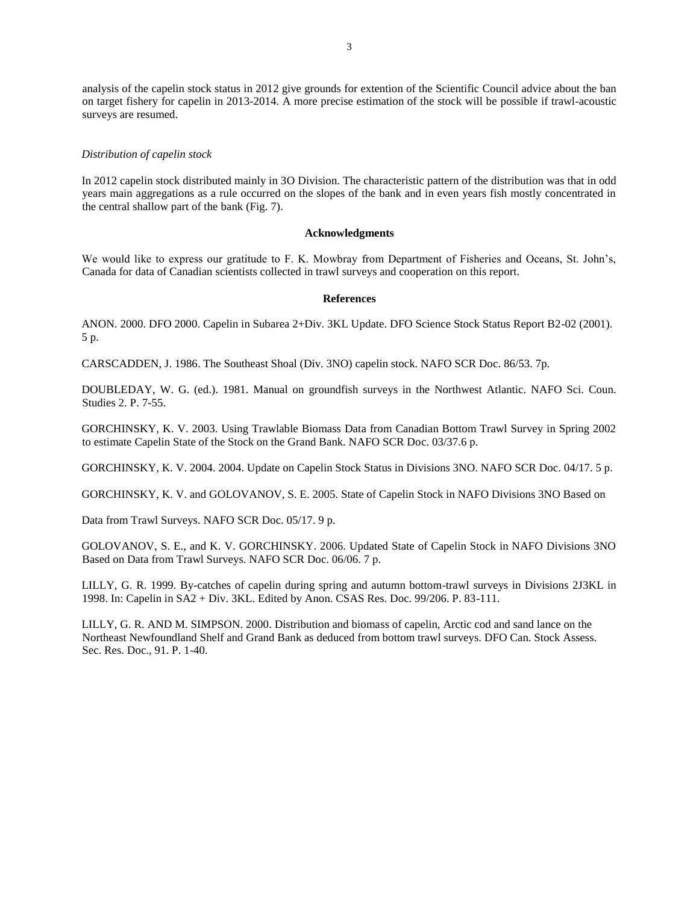analysis of the capelin stock status in 2012 give grounds for extention of the Scientific Council advice about the ban on target fishery for capelin in 2013-2014. A more precise estimation of the stock will be possible if trawl-acoustic surveys are resumed.

## *Distribution of capelin stock*

In 2012 capelin stock distributed mainly in 3O Division. The characteristic pattern of the distribution was that in odd years main aggregations as a rule occurred on the slopes of the bank and in even years fish mostly concentrated in the central shallow part of the bank (Fig. 7).

### **Acknowledgments**

We would like to express our gratitude to F. K. Mowbray from Department of Fisheries and Oceans, St. John's, Canada for data of Canadian scientists collected in trawl surveys and cooperation on this report.

## **References**

ANON. 2000. DFO 2000. Capelin in Subarea 2+Div. 3KL Update. DFO Science Stock Status Report B2-02 (2001). 5 p.

CARSCADDEN, J. 1986. The Southeast Shoal (Div. 3NO) capelin stock. NAFO SCR Doc. 86/53. 7p.

DOUBLEDAY, W. G. (ed.). 1981. Manual on groundfish surveys in the Northwest Atlantic. NAFO Sci. Coun. Studies 2. P. 7-55.

GORCHINSKY, K. V. 2003. Using Trawlable Biomass Data from Canadian Bottom Trawl Survey in Spring 2002 to estimate Capelin State of the Stock on the Grand Bank. NAFO SCR Doc. 03/37.6 p.

GORCHINSKY, K. V. 2004. 2004. Update on Capelin Stock Status in Divisions 3NO. NAFO SCR Doc. 04/17. 5 p.

GORCHINSKY, K. V. and GOLOVANOV, S. E. 2005. State of Capelin Stock in NAFO Divisions 3NO Based on

Data from Trawl Surveys. NAFO SCR Doc. 05/17. 9 p.

GOLOVANOV, S. E., and K. V. GORCHINSKY. 2006. Updated State of Capelin Stock in NAFO Divisions 3NO Based on Data from Trawl Surveys. NAFO SCR Doc. 06/06. 7 p.

LILLY, G. R. 1999. By-catches of capelin during spring and autumn bottom-trawl surveys in Divisions 2J3KL in 1998. In: Capelin in SA2 + Div. 3KL. Edited by Anon. CSAS Res. Doc. 99/206. P. 83-111.

LILLY, G. R. AND M. SIMPSON. 2000. Distribution and biomass of capelin, Arctic cod and sand lance on the Northeast Newfoundland Shelf and Grand Bank as deduced from bottom trawl surveys. DFO Can. Stock Assess. Sec. Res. Doc., 91. P. 1-40.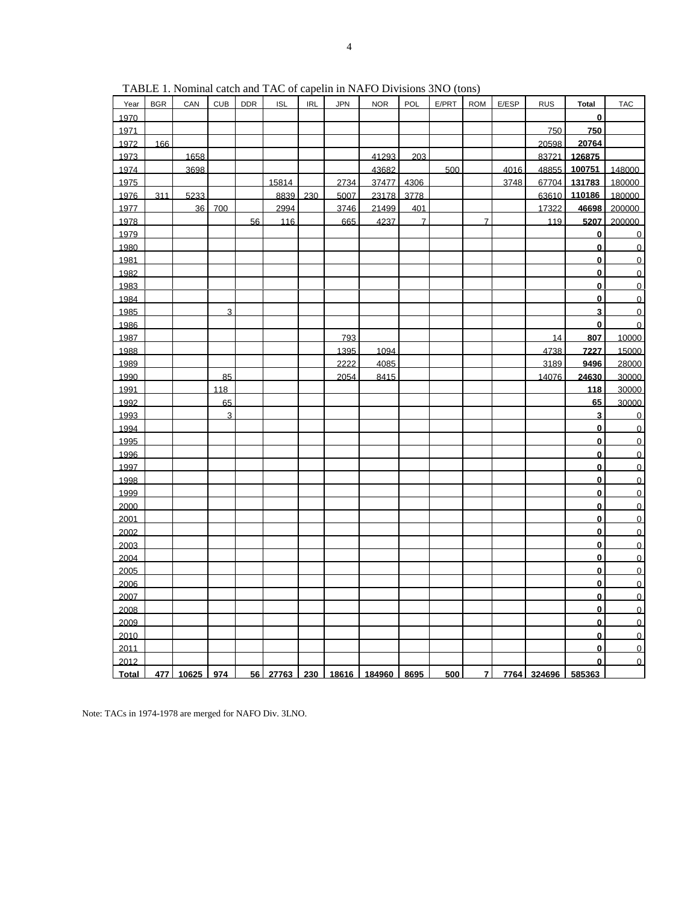| Year  | <b>BGR</b> | CAN   | <b>CUB</b>     | <b>DDR</b> | <b>ISL</b> | <b>IRL</b> | <b>JPN</b> | <b>NOR</b> | POL            | E/PRT | <b>ROM</b>     | E/ESP | <b>RUS</b>  | <b>Total</b>            | <b>TAC</b>     |
|-------|------------|-------|----------------|------------|------------|------------|------------|------------|----------------|-------|----------------|-------|-------------|-------------------------|----------------|
| 1970  |            |       |                |            |            |            |            |            |                |       |                |       |             | $\mathbf{0}$            |                |
| 1971  |            |       |                |            |            |            |            |            |                |       |                |       | 750         | 750                     |                |
| 1972  | 166        |       |                |            |            |            |            |            |                |       |                |       | 20598       | 20764                   |                |
| 1973  |            | 1658  |                |            |            |            |            | 41293      | 203            |       |                |       | 83721       | 126875                  |                |
| 1974  |            | 3698  |                |            |            |            |            | 43682      |                | 500   |                | 4016  | 48855       | 100751                  | 148000         |
| 1975  |            |       |                |            | 15814      |            | 2734       | 37477      | 4306           |       |                | 3748  | 67704       | 131783                  | 180000         |
| 1976  | 311        | 5233  |                |            | 8839       | 230        | 5007       | 23178      | 3778           |       |                |       | 63610       | 110186                  | 180000         |
| 1977  |            | 36    | 700            |            | 2994       |            | 3746       | 21499      | 401            |       |                |       | 17322       | 46698                   | 200000         |
| 1978  |            |       |                | 56         | 116        |            | 665        | 4237       | $\overline{7}$ |       | $\overline{7}$ |       | 119         | 5207                    | 200000         |
| 1979  |            |       |                |            |            |            |            |            |                |       |                |       |             | $\bf{0}$                | $\Omega$       |
| 1980  |            |       |                |            |            |            |            |            |                |       |                |       |             | $\bf{0}$                | $\overline{0}$ |
| 1981  |            |       |                |            |            |            |            |            |                |       |                |       |             | $\mathbf{0}$            | $\overline{0}$ |
| 1982  |            |       |                |            |            |            |            |            |                |       |                |       |             | $\bf{0}$                | $\overline{0}$ |
| 1983  |            |       |                |            |            |            |            |            |                |       |                |       |             | $\mathbf{0}$            | $\Omega$       |
| 1984  |            |       |                |            |            |            |            |            |                |       |                |       |             | $\bf{0}$                | $\overline{0}$ |
| 1985  |            |       | 3              |            |            |            |            |            |                |       |                |       |             | $\overline{\mathbf{3}}$ | $\overline{0}$ |
| 1986  |            |       |                |            |            |            |            |            |                |       |                |       |             | $\mathbf 0$             | $\overline{0}$ |
| 1987  |            |       |                |            |            |            | 793        |            |                |       |                |       | 14          | 807                     | 10000          |
| 1988  |            |       |                |            |            |            | 1395       | 1094       |                |       |                |       | 4738        | 7227                    | 15000          |
| 1989  |            |       |                |            |            |            | 2222       | 4085       |                |       |                |       | 3189        | 9496                    | 28000          |
| 1990  |            |       | 85             |            |            |            | 2054       | 8415       |                |       |                |       | 14076       | 24630                   | 30000          |
| 1991  |            |       | 118            |            |            |            |            |            |                |       |                |       |             | 118                     | 30000          |
| 1992  |            |       | 65             |            |            |            |            |            |                |       |                |       |             | 65                      | 30000          |
| 1993  |            |       | $\overline{3}$ |            |            |            |            |            |                |       |                |       |             | 3                       | $\overline{0}$ |
| 1994  |            |       |                |            |            |            |            |            |                |       |                |       |             | $\bf{0}$                | $\Omega$       |
| 1995  |            |       |                |            |            |            |            |            |                |       |                |       |             | $\mathbf{0}$            | $\overline{0}$ |
| 1996  |            |       |                |            |            |            |            |            |                |       |                |       |             | $\bf{0}$                | $\overline{0}$ |
| 1997  |            |       |                |            |            |            |            |            |                |       |                |       |             | $\mathbf{0}$            | $\Omega$       |
| 1998  |            |       |                |            |            |            |            |            |                |       |                |       |             | $\bf{0}$                | $\Omega$       |
| 1999  |            |       |                |            |            |            |            |            |                |       |                |       |             | $\bf{0}$                | $\overline{0}$ |
| 2000  |            |       |                |            |            |            |            |            |                |       |                |       |             | $\bf{0}$                | $\Omega$       |
| 2001  |            |       |                |            |            |            |            |            |                |       |                |       |             | $\bf{0}$                | $\Omega$       |
| 2002  |            |       |                |            |            |            |            |            |                |       |                |       |             | $\bf{0}$                | $\Omega$       |
| 2003  |            |       |                |            |            |            |            |            |                |       |                |       |             | $\bf{0}$                | $\overline{0}$ |
| 2004  |            |       |                |            |            |            |            |            |                |       |                |       |             | $\bf{0}$                | $\Omega$       |
| 2005  |            |       |                |            |            |            |            |            |                |       |                |       |             | $\bf{0}$                | $\Omega$       |
| 2006  |            |       |                |            |            |            |            |            |                |       |                |       |             | $\bf{0}$                | $\overline{0}$ |
| 2007  |            |       |                |            |            |            |            |            |                |       |                |       |             | $\bf{0}$                | $\mathbf 0$    |
| 2008  |            |       |                |            |            |            |            |            |                |       |                |       |             | $\bf{0}$                | $\overline{0}$ |
| 2009  |            |       |                |            |            |            |            |            |                |       |                |       |             | $\mathbf{0}$            | $\Omega$       |
| 2010  |            |       |                |            |            |            |            |            |                |       |                |       |             | $\bf{0}$                | $\Omega$       |
| 2011  |            |       |                |            |            |            |            |            |                |       |                |       |             | $\bf{0}$                | $\Omega$       |
| 2012  |            |       |                |            |            |            |            |            |                |       |                |       |             | $\mathbf{0}$            | $\overline{0}$ |
| Total | 477 I      | 10625 | 974            |            | 56 27763   | 230        | 18616      | 184960     | 8695           | 500   | $\overline{z}$ |       | 7764 324696 | 585363                  |                |

TABLE 1. Nominal catch and TAC of capelin in NAFO Divisions 3NO (tons)

Note: TACs in 1974-1978 are merged for NAFO Div. 3LNO.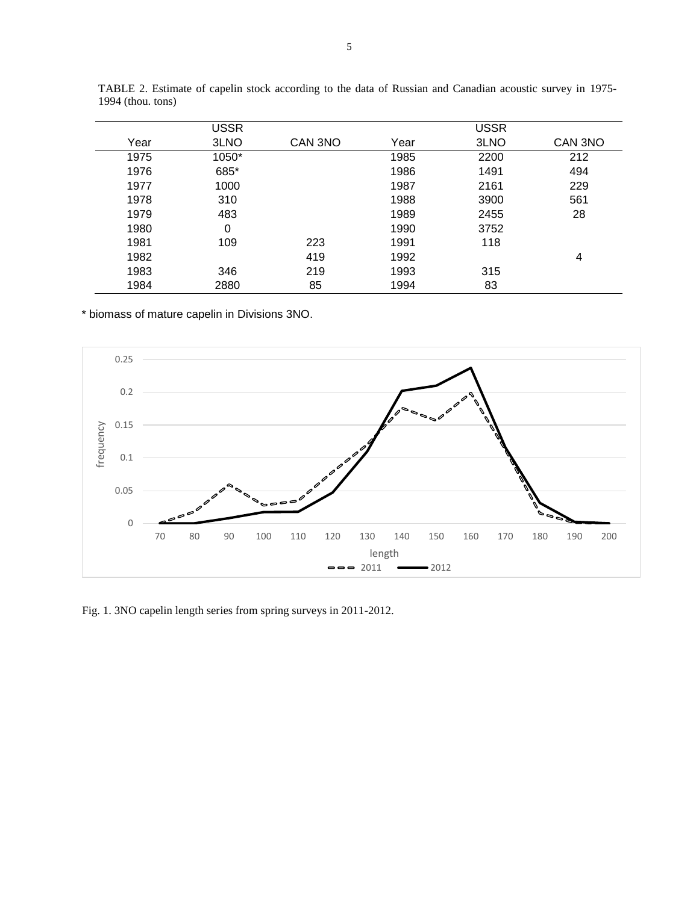|      | <b>USSR</b> |         |      | <b>USSR</b> |         |
|------|-------------|---------|------|-------------|---------|
| Year | 3LNO        | CAN 3NO | Year | 3LNO        | CAN 3NO |
| 1975 | 1050*       |         | 1985 | 2200        | 212     |
| 1976 | 685*        |         | 1986 | 1491        | 494     |
| 1977 | 1000        |         | 1987 | 2161        | 229     |
| 1978 | 310         |         | 1988 | 3900        | 561     |
| 1979 | 483         |         | 1989 | 2455        | 28      |
| 1980 | 0           |         | 1990 | 3752        |         |
| 1981 | 109         | 223     | 1991 | 118         |         |
| 1982 |             | 419     | 1992 |             | 4       |
| 1983 | 346         | 219     | 1993 | 315         |         |
| 1984 | 2880        | 85      | 1994 | 83          |         |

TABLE 2. Estimate of capelin stock according to the data of Russian and Canadian acoustic survey in 1975- 1994 (thou. tons)

\* biomass of mature capelin in Divisions 3NO.



Fig. 1. 3NO capelin length series from spring surveys in 2011-2012.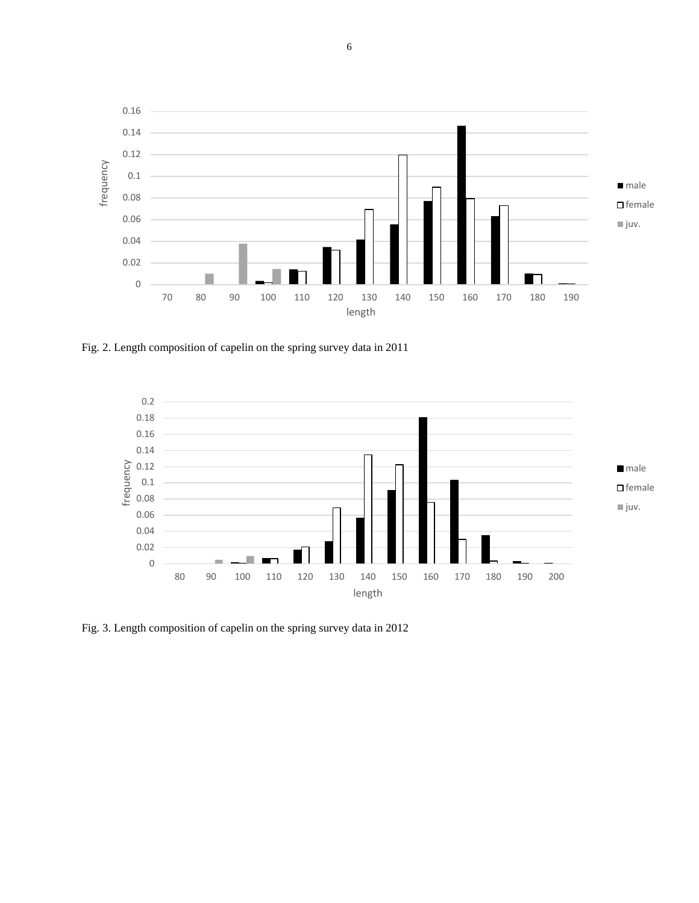

Fig. 2. Length composition of capelin on the spring survey data in 2011



Fig. 3. Length composition of capelin on the spring survey data in 2012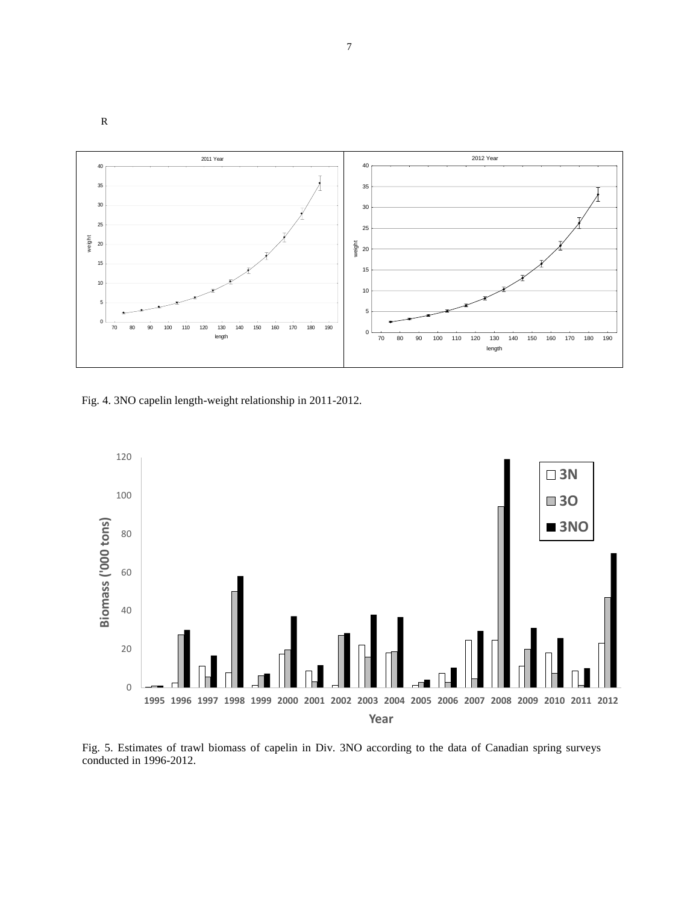

Fig. 4. 3NO capelin length-weight relationship in 2011-2012.

R



Fig. 5. Estimates of trawl biomass of capelin in Div. 3NO according to the data of Canadian spring surveys conducted in 1996-2012.